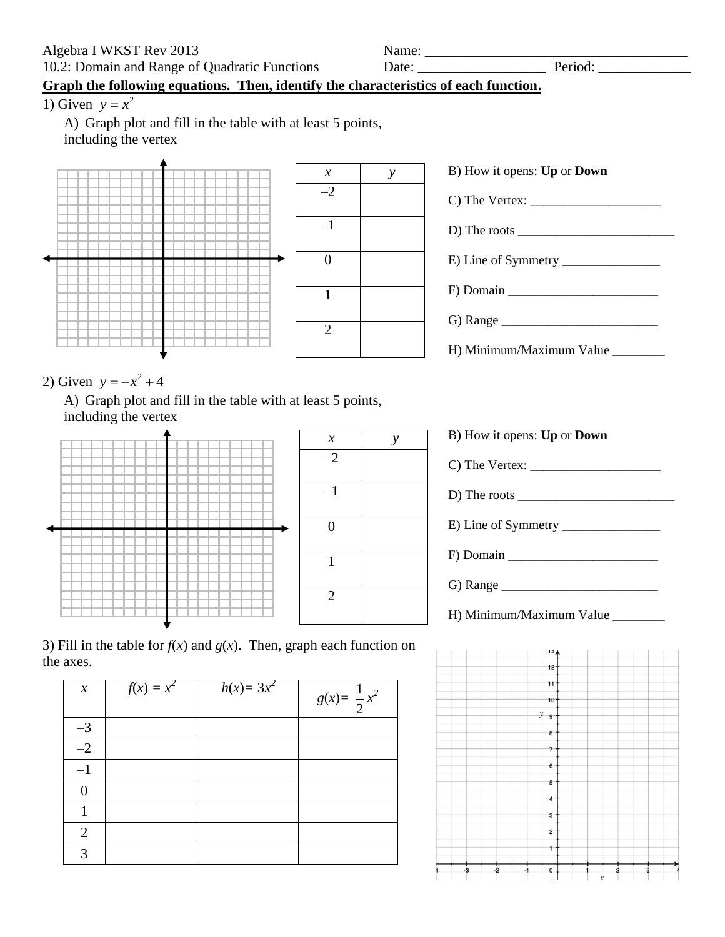## **Graph the following equations. Then, identify the characteristics of each function.**

1) Given  $y = x^2$ 

A) Graph plot and fill in the table with at least 5 points, including the vertex



| B) How it opens: Up or Down                                                                                                    |  |  |  |  |
|--------------------------------------------------------------------------------------------------------------------------------|--|--|--|--|
|                                                                                                                                |  |  |  |  |
| D) The roots $\frac{1}{\sqrt{1-\frac{1}{2}}\sqrt{1-\frac{1}{2}}\sqrt{1-\frac{1}{2}}\sqrt{1-\frac{1}{2}}\sqrt{1-\frac{1}{2}}}}$ |  |  |  |  |
|                                                                                                                                |  |  |  |  |
| $F$ ) Domain                                                                                                                   |  |  |  |  |
| G) Range                                                                                                                       |  |  |  |  |
| H) Minimum/Maximum Value ________                                                                                              |  |  |  |  |

2) Given  $y = -x^2 + 4$ 

A) Graph plot and fill in the table with at least 5 points, including the vertex





| B) How it opens: Up or Down              |  |
|------------------------------------------|--|
|                                          |  |
| D) The roots $\overline{\qquad \qquad }$ |  |
|                                          |  |
|                                          |  |
|                                          |  |
| H) Minimum/Maximum Value _______         |  |



| $\chi$         | $f(x) = x^2$ | $h(x) = 3x^2$ | $g(x) = \frac{1}{2}x^2$ |
|----------------|--------------|---------------|-------------------------|
| $-3$           |              |               |                         |
| $-2$           |              |               |                         |
| $-1$           |              |               |                         |
| 0              |              |               |                         |
|                |              |               |                         |
| $\overline{2}$ |              |               |                         |
| 3              |              |               |                         |